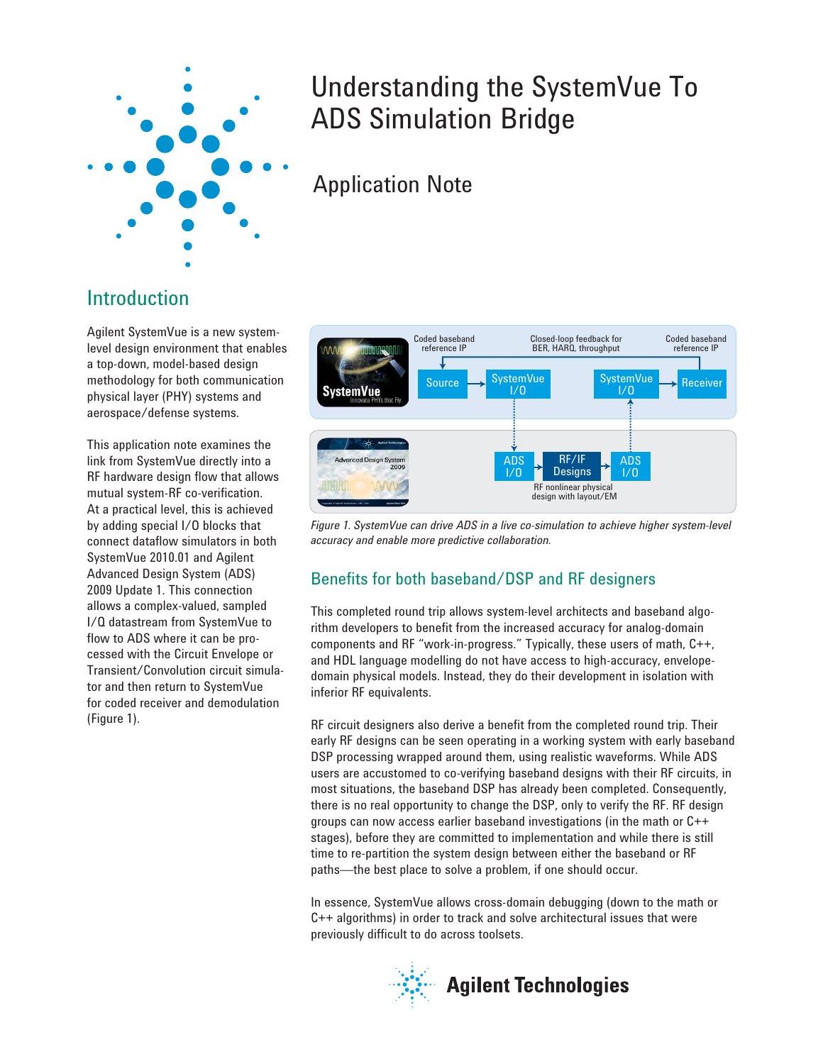

# Understanding the SystemVue To ADS Simulation Bridge

# Application Note

# Introduction

Agilent SystemVue is a new systemlevel design environment that enables a top-down, model-based design methodology for both communication physical layer (PHY) systems and aerospace/defense systems.

This application note examines the link from SystemVue directly into a RF hardware design flow that allows mutual system-RF co-verification. At a practical level, this is achieved by adding special I/O blocks that connect dataflow simulators in both SystemVue 2010.01 and Agilent Advanced Design System (ADS) 2009 Update 1. This connection allows a complex-valued, sampled I/Q datastream from SystemVue to flow to ADS where it can be processed with the Circuit Envelope or Transient/Convolution circuit simulator and then return to SystemVue for coded receiver and demodulation (Figure 1).



*Figure 1. SystemVue can drive ADS in a live co-simulation to achieve higher system-level accuracy and enable more predictive collaboration.*

# Benefits for both baseband/DSP and RF designers

This completed round trip allows system-level architects and baseband algorithm developers to benefit from the increased accuracy for analog-domain components and RF "work-in-progress." Typically, these users of math, C++, and HDL language modelling do not have access to high-accuracy, envelopedomain physical models. Instead, they do their development in isolation with inferior RF equivalents.

RF circuit designers also derive a benefit from the completed round trip. Their early RF designs can be seen operating in a working system with early baseband DSP processing wrapped around them, using realistic waveforms. While ADS users are accustomed to co-verifying baseband designs with their RF circuits, in most situations, the baseband DSP has already been completed. Consequently, there is no real opportunity to change the DSP, only to verify the RF. RF design groups can now access earlier baseband investigations (in the math or C++ stages), before they are committed to implementation and while there is still time to re-partition the system design between either the baseband or RF paths—the best place to solve a problem, if one should occur.

In essence, SystemVue allows cross-domain debugging (down to the math or C++ algorithms) in order to track and solve architectural issues that were previously difficult to do across toolsets.

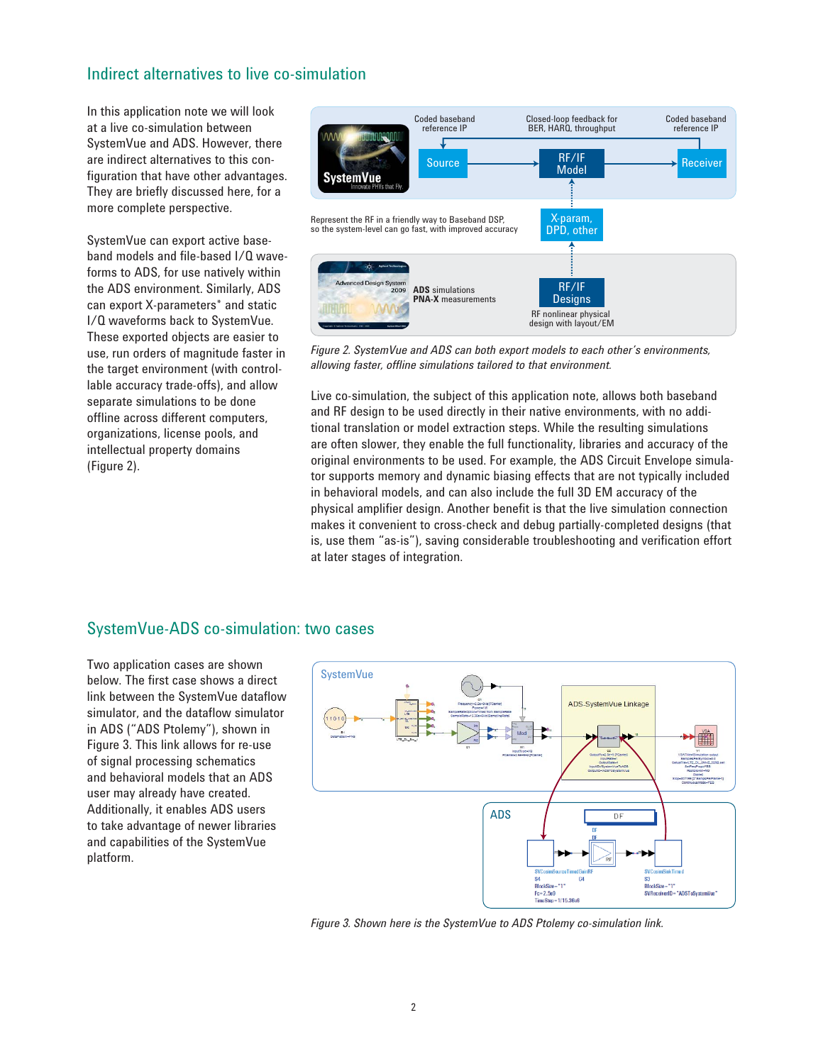## Indirect alternatives to live co-simulation

In this application note we will look at a live co-simulation between SystemVue and ADS. However, there are indirect alternatives to this configuration that have other advantages. They are briefly discussed here, for a more complete perspective.

SystemVue can export active baseband models and file-based I/Q waveforms to ADS, for use natively within the ADS environment. Similarly, ADS can export X-parameters\* and static I/Q waveforms back to SystemVue. These exported objects are easier to use, run orders of magnitude faster in the target environment (with controllable accuracy trade-offs), and allow separate simulations to be done offline across different computers, organizations, license pools, and intellectual property domains (Figure 2).



*Figure 2. SystemVue and ADS can both export models to each other's environments, allowing faster, offline simulations tailored to that environment.*

Live co-simulation, the subject of this application note, allows both baseband and RF design to be used directly in their native environments, with no additional translation or model extraction steps. While the resulting simulations are often slower, they enable the full functionality, libraries and accuracy of the original environments to be used. For example, the ADS Circuit Envelope simulator supports memory and dynamic biasing effects that are not typically included in behavioral models, and can also include the full 3D EM accuracy of the physical amplifier design. Another benefit is that the live simulation connection makes it convenient to cross-check and debug partially-completed designs (that is, use them "as-is"), saving considerable troubleshooting and verification effort at later stages of integration.

# SystemVue-ADS co-simulation: two cases

Two application cases are shown below. The first case shows a direct link between the SystemVue dataflow simulator, and the dataflow simulator in ADS ("ADS Ptolemy"), shown in Figure 3. This link allows for re-use of signal processing schematics and behavioral models that an ADS user may already have created. Additionally, it enables ADS users to take advantage of newer libraries and capabilities of the SystemVue platform.



*Figure 3. Shown here is the SystemVue to ADS Ptolemy co-simulation link.*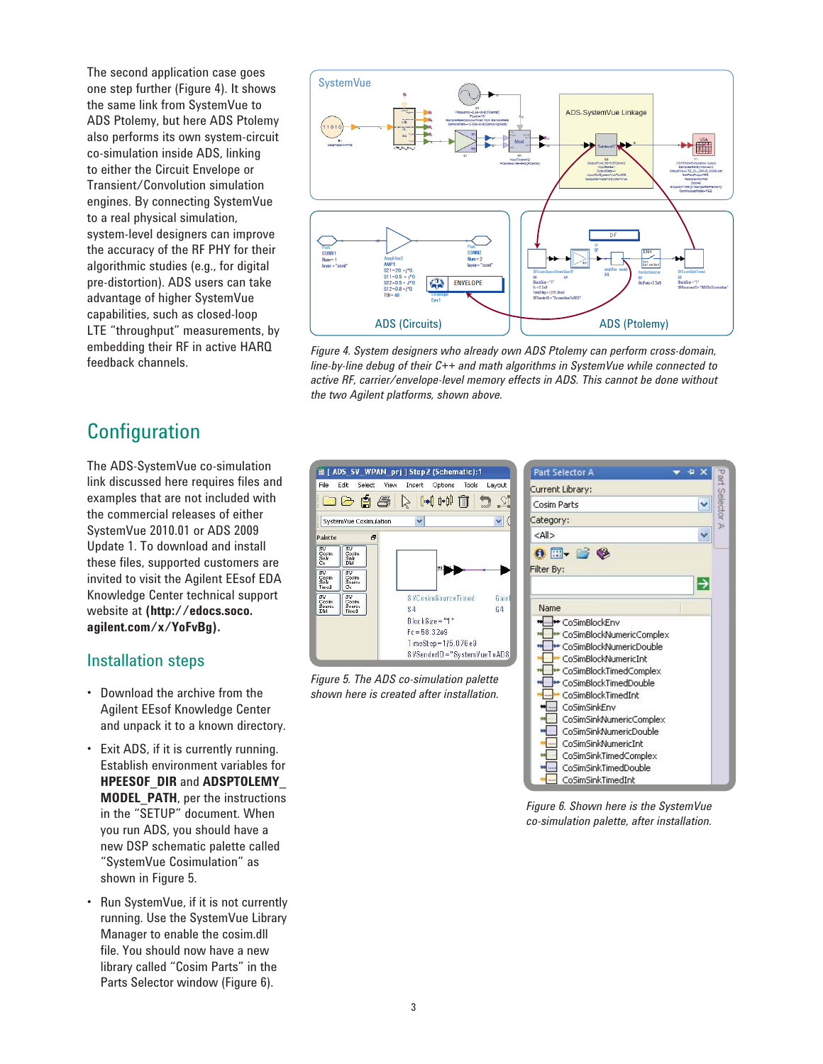The second application case goes one step further (Figure 4). It shows the same link from SystemVue to ADS Ptolemy, but here ADS Ptolemy also performs its own system-circuit co-simulation inside ADS, linking to either the Circuit Envelope or Transient/Convolution simulation engines. By connecting SystemVue to a real physical simulation, system-level designers can improve the accuracy of the RF PHY for their algorithmic studies (e.g., for digital pre-distortion). ADS users can take advantage of higher SystemVue capabilities, such as closed-loop LTE "throughput" measurements, by embedding their RF in active HARQ feedback channels.



*Figure 4. System designers who already own ADS Ptolemy can perform cross-domain, line-by-line debug of their C++ and math algorithms in SystemVue while connected to active RF, carrier/envelope-level memory effects in ADS. This cannot be done without the two Agilent platforms, shown above.*

# **Configuration**

The ADS-SystemVue co-simulation link discussed here requires files and examples that are not included with the commercial releases of either SystemVue 2010.01 or ADS 2009 Update 1. To download and install these files, supported customers are invited to visit the Agilent EEsof EDA Knowledge Center technical support website at **(http://edocs.soco. agilent.com/x/YoFvBg).**

# Installation steps

- Download the archive from the Agilent EEsof Knowledge Center and unpack it to a known directory.
- Exit ADS, if it is currently running. Establish environment variables for **HPEESOF\_DIR** and **ADSPTOLEMY\_ MODEL\_PATH**, per the instructions in the "SETUP" document. When you run ADS, you should have a new DSP schematic palette called "SystemVue Cosimulation" as shown in Figure 5.
- Run SystemVue, if it is not currently running. Use the SystemVue Library Manager to enable the cosim.dll file. You should now have a new library called "Cosim Parts" in the Parts Selector window (Figure 6).



*Figure 5. The ADS co-simulation palette shown here is created after installation.*



*Figure 6. Shown here is the SystemVue co-simulation palette, after installation.*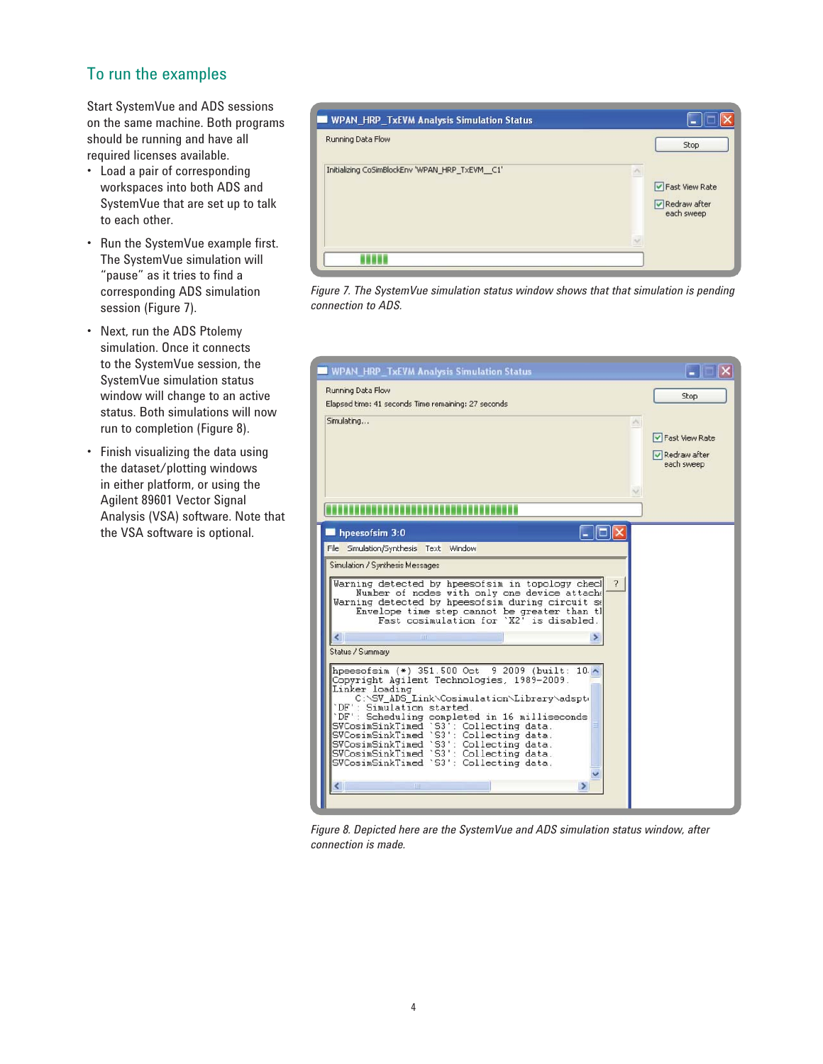# To run the examples

Start SystemVue and ADS sessions on the same machine. Both programs should be running and have all required licenses available.

- Load a pair of corresponding workspaces into both ADS and SystemVue that are set up to talk to each other.
- Run the SystemVue example first. The SystemVue simulation will "pause" as it tries to find a corresponding ADS simulation session (Figure 7).
- Next, run the ADS Ptolemy simulation. Once it connects to the SystemVue session, the SystemVue simulation status window will change to an active status. Both simulations will now run to completion (Figure 8).
- Finish visualizing the data using the dataset/plotting windows in either platform, or using the Agilent 89601 Vector Signal Analysis (VSA) software. Note that the VSA software is optional.



*Figure 7. The SystemVue simulation status window shows that that simulation is pending connection to ADS.*



*Figure 8. Depicted here are the SystemVue and ADS simulation status window, after connection is made.*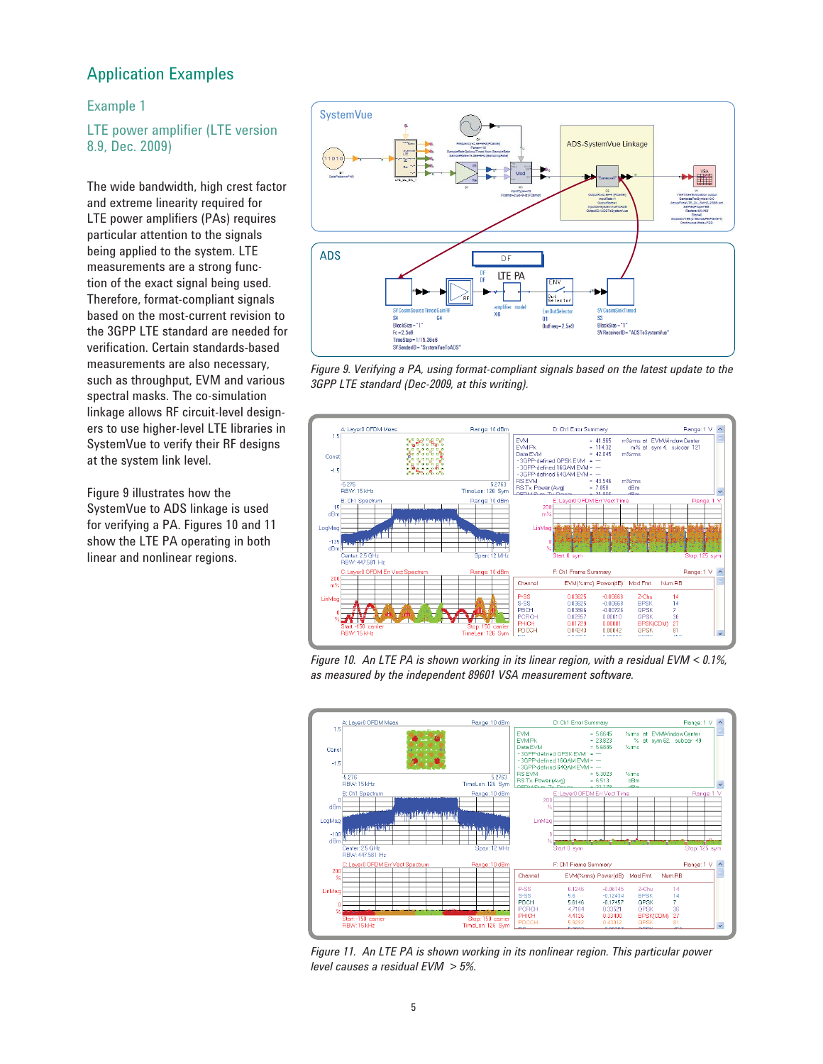## Application Examples

#### Example 1

LTE power amplifier (LTE version 8.9, Dec. 2009)

The wide bandwidth, high crest factor and extreme linearity required for LTE power amplifiers (PAs) requires particular attention to the signals being applied to the system. LTE measurements are a strong function of the exact signal being used. Therefore, format-compliant signals based on the most-current revision to the 3GPP LTE standard are needed for verification. Certain standards-based measurements are also necessary, such as throughput, EVM and various spectral masks. The co-simulation linkage allows RF circuit-level designers to use higher-level LTE libraries in SystemVue to verify their RF designs at the system link level.

Figure 9 illustrates how the SystemVue to ADS linkage is used for verifying a PA. Figures 10 and 11 show the LTE PA operating in both linear and nonlinear regions.



*Figure 9. Verifying a PA, using format-compliant signals based on the latest update to the 3GPP LTE standard (Dec-2009, at this writing).*



*Figure 10. An LTE PA is shown working in its linear region, with a residual EVM < 0.1%, as measured by the independent 89601 VSA measurement software.*



*Figure 11. An LTE PA is shown working in its nonlinear region. This particular power level causes a residual EVM > 5%.*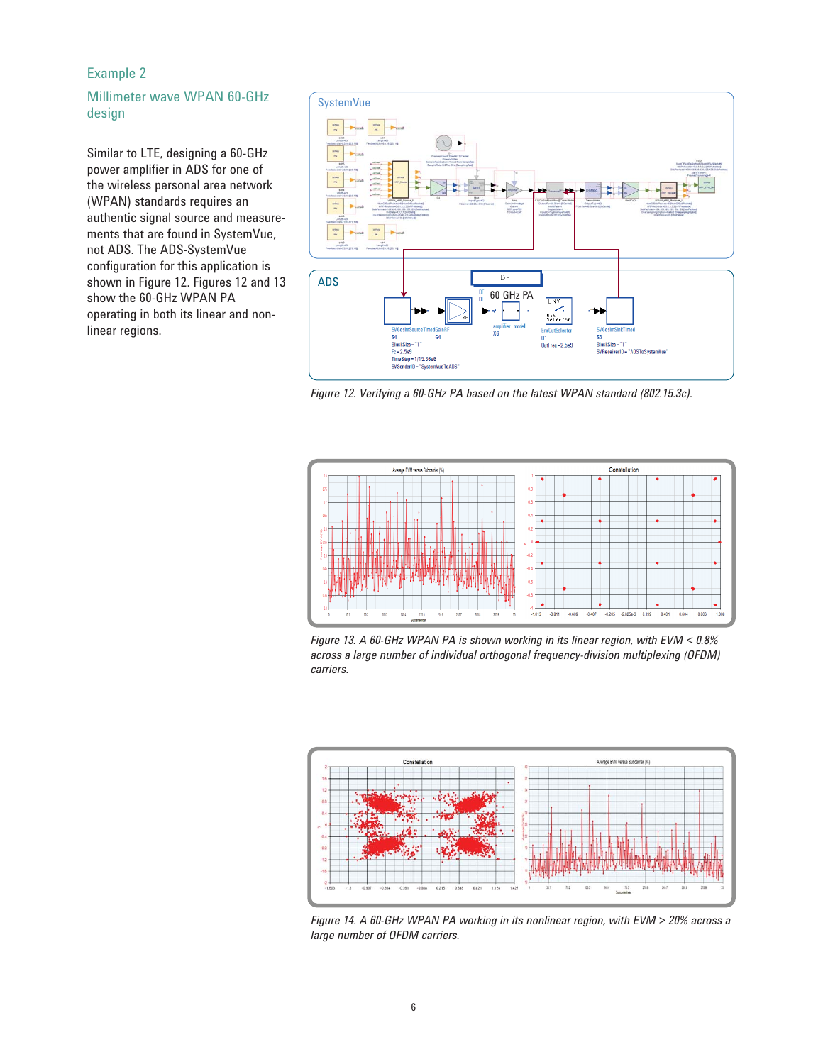#### Example 2

#### Millimeter wave WPAN 60-GHz design

Similar to LTE, designing a 60-GHz power amplifier in ADS for one of the wireless personal area network (WPAN) standards requires an authentic signal source and measurements that are found in SystemVue, not ADS. The ADS-SystemVue configuration for this application is shown in Figure 12. Figures 12 and 13 show the 60-GHz WPAN PA operating in both its linear and nonlinear regions.



*Figure 12. Verifying a 60-GHz PA based on the latest WPAN standard (802.15.3c).* 



*Figure 13. A 60-GHz WPAN PA is shown working in its linear region, with EVM < 0.8% across a large number of individual orthogonal frequency-division multiplexing (OFDM) carriers.*



*Figure 14. A 60-GHz WPAN PA working in its nonlinear region, with EVM > 20% across a large number of OFDM carriers.*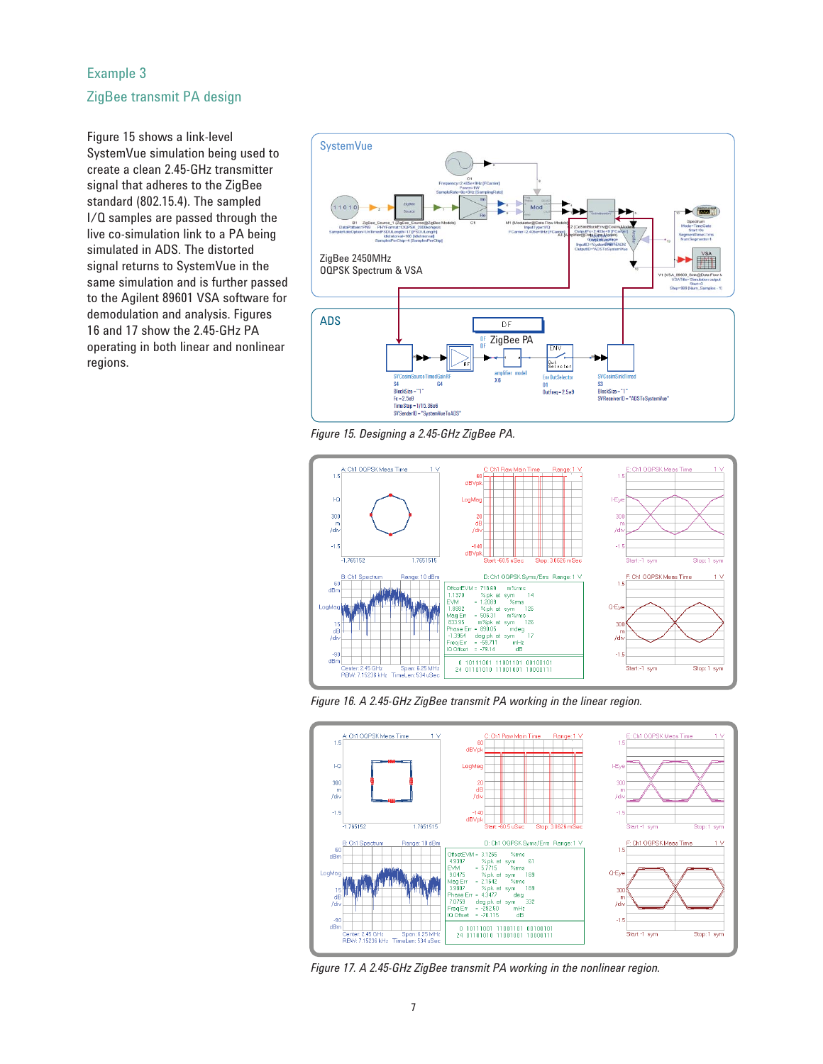#### Example 3

#### ZigBee transmit PA design

Figure 15 shows a link-level SystemVue simulation being used to create a clean 2.45-GHz transmitter signal that adheres to the ZigBee standard (802.15.4). The sampled I/Q samples are passed through the live co-simulation link to a PA being simulated in ADS. The distorted signal returns to SystemVue in the same simulation and is further passed to the Agilent 89601 VSA software for demodulation and analysis. Figures 16 and 17 show the 2.45-GHz PA operating in both linear and nonlinear regions.



*Figure 15. Designing a 2.45-GHz ZigBee PA.*



*Figure 16. A 2.45-GHz ZigBee transmit PA working in the linear region.*



*Figure 17. A 2.45-GHz ZigBee transmit PA working in the nonlinear region.*